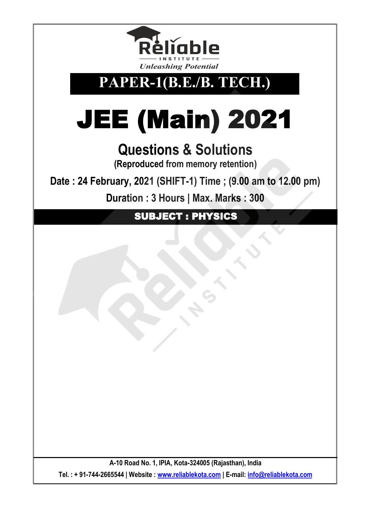

**PAPER-1(B.E./B. TECH.)**

# JEE (Main) 2021

## **Questions & Solutions**

**(Reproduced from memory retention)**

**Date : 24 February, 2021 (SHIFT-1) Time ; (9.00 am to 12.00 pm)**

**Duration : 3 Hours | Max. Marks : 300** 

SUBJECT : PHYSICS

**A-10 Road No. 1, IPIA, Kota-324005 (Rajasthan), India Tel. : + 91-744-2665544 | Website : [www.reliablekota.com](http://www.reliablekota.com/) | E-mail: [info@reliablekota.com](mailto:info@reliablekota.com)**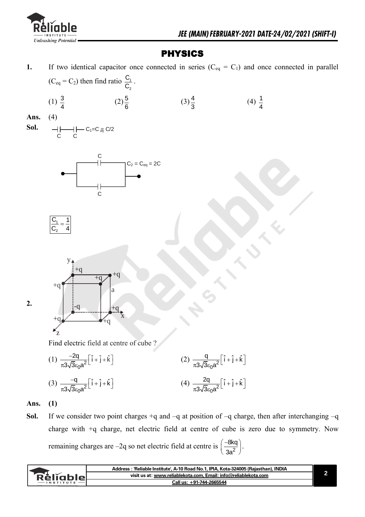

 $(4) \frac{1}{4}$ 4

### PHYSICS

**1.** If two identical capacitor once connected in series  $(C_{eq} = C_1)$  and once connected in parallel  $(C_{\text{eq}} = C_2)$  then find ratio  $\frac{C_1}{C_2}$ 2 C  $\frac{C_1}{C_2}$ .

> $(3)\frac{4}{5}$ 3

- $(1) \frac{3}{4}$ 4 **Ans.** (4)
- **Sol.**  C C  $C_1=C$   $\frac{1}{\text{eq}}$  C/2



 $(2)\frac{5}{5}$ 6





Find electric field at centre of cube ?

- $(1) \frac{-2q}{\pi 3\sqrt{3}\epsilon_0 a^2}$  $\frac{2q}{\sqrt{2}}\left[\hat{i}+\hat{j}+\hat{k}\right]$ 3√3s<sub>0</sub>a  $\frac{-2q}{\pi 3\sqrt{3}\epsilon_0 a^2} \left[\hat{i} + \hat{j} + \hat{k}\right]$  $(2) \frac{q}{\pi 3\sqrt{3}\epsilon_0 a^2}$  $\frac{q}{\sqrt{q}}$   $\left[\hat{i} + \hat{j} + \hat{k}\right]$  $rac{q}{\pi 3\sqrt{3}\epsilon_0 a^2} \left[\hat{i} + \hat{j} + \hat{k}\right]$ (3)  $\frac{-q}{\pi 3\sqrt{3}\epsilon_0 a^2}$  $\frac{q}{\sqrt{q}}\left[\hat{i}+\hat{j}+\hat{k}\right]$ 3√3s<sub>0</sub>a  $\frac{-q}{\pi 3\sqrt{3}\epsilon_0 a^2} \left[\hat{i} + \hat{j} + \hat{k}\right]$  $(4) \frac{2q}{\pi 3\sqrt{3}\epsilon_0 a^2}$  $\frac{2q}{\sqrt{2}}$   $\left[\hat{i} + \hat{j} + \hat{k}\right]$  $rac{2q}{\pi 3\sqrt{3}\epsilon_0 a^2} \left[\hat{i} + \hat{j} + \hat{k}\right]$
- **Ans. (1)**

**2.** 

Sol. If we consider two point charges  $+q$  and  $-q$  at position of  $-q$  charge, then after interchanging  $-q$ charge with +q charge, net electric field at centre of cube is zero due to symmetry. Now remaining charges are –2q so net electric field at centre is  $\frac{1}{22}$ 8kq 3a  $(-8kq)$  $\left(\frac{-\text{ln}q}{3a^2}\right)$ .

|                   | Address: 'Reliable Institute', A-10 Road No.1, IPIA, Kota-324005 (Rajasthan), INDIA |  |
|-------------------|-------------------------------------------------------------------------------------|--|
| <b>Rěliable</b> L | visit us at: www.reliablekota.com, Email: info@reliablekota.com                     |  |
|                   | Call us: +91-744-2665544                                                            |  |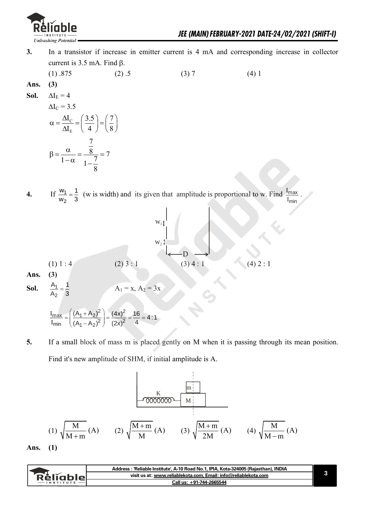

- **3.** In a transistor if increase in emitter current is 4 mA and corresponding increase in collector current is 3.5 mA. Find  $\beta$ .
- (1)  $.875$  (2)  $.5$  (3) 7 (4) 1 **Ans. (3) Sol.**  $\Delta I_E = 4$  $\Delta I_{\circ} = 3.5$

$$
\alpha = \frac{\Delta I_{\rm C}}{\Delta I_{\rm E}} = \left(\frac{3.5}{4}\right) = \left(\frac{7}{8}\right)
$$

$$
\beta = \frac{\alpha}{1 - \alpha} = \frac{\frac{7}{8}}{1 - \frac{7}{8}} = 7
$$

**4.** If  $\frac{w_1}{w_1}$ 2  $w_1$  1  $\frac{w_1}{w_2} = \frac{1}{3}$  (w is width) and its given that amplitude is proportional to w. Find  $\frac{I_{\text{max}}}{I_{\text{min}}}$ I<sub>min</sub> I .



 $\frac{max}{2} = \left(\frac{(A_1 + A_2)^2}{(A_1 + A_2)^2}\right) = \frac{(4x)^2}{(A_1 + A_2)^2}$  $\frac{\text{max}}{\text{min}} = \left( \frac{(A_1 + A_2)^2}{(A_1 - A_2)^2} \right) = \frac{(4x)^2}{(2x)^2}$  $\left(\frac{(A_1 + A_2)^2}{(A_1 + A_2)^2}\right) = \frac{(4x)^2}{(2x)^2} = \frac{16}{4} = 4:1$  $\left(\frac{(A_1 + A_2)^2}{(A_1 - A_2)^2}\right) = \frac{(4x)^2}{(2x)^2} = \frac{16}{4}$  $I_{\text{max}}$   $((A_1 + A_2)^2)$  (4)  $\frac{I_{\text{max}}}{I_{\text{min}}}$  =  $\left(\frac{(A_1 + A_2)^2}{(A_1 - A_2)^2}\right)$  =  $\frac{(4x)^2}{(2x)^2}$  =  $\frac{16}{4}$  = 4:1

**5.** If a small block of mass m is placed gently on M when it is passing through its mean position. Find it's new amplitude of SHM, if initial amplitude is A.

(1) 
$$
\sqrt{\frac{M}{M+m}}
$$
 (A) (2)  $\sqrt{\frac{M+m}{M}}$  (A) (3)  $\sqrt{\frac{M+m}{2M}}$  (A) (4)  $\sqrt{\frac{M}{M-m}}$  (A)

**Ans. (1)** 

|                          |           | Address : 'Reliable Institute', A-10 Road No.1, IPIA, Kota-324005 (Rajasthan), INDIA |  |
|--------------------------|-----------|--------------------------------------------------------------------------------------|--|
|                          | Kellahler | visit us at: www.reliablekota.com, Email: info@reliablekota.com                      |  |
| Call us: +91-744-2665544 |           |                                                                                      |  |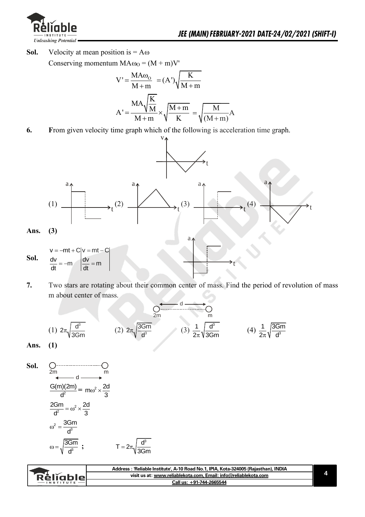

**Sol.** Velocity at mean position is  $= A\omega$ Conserving momentum  $MA\omega_0 = (M + m)V'$ 

$$
V' = \frac{MA\omega_0}{M+m} = (A')\sqrt{\frac{K}{M+m}}
$$

$$
A' = \frac{MA\sqrt{\frac{K}{M}}}{M+m} \times \sqrt{\frac{M+m}{K}} = \sqrt{\frac{M}{(M+m)}}A
$$

**6. F**rom given velocity time graph which of the following is acceleration time graph.



**7.** Two stars are rotating about their common center of mass. Find the period of revolution of mass m about center of mass.

$$
\frac{\sqrt{4\pi}}{2m} \frac{d}{dm}
$$
\n(1)  $2\pi \sqrt{\frac{d^3}{3Gm}}$  (2)  $2\pi \sqrt{\frac{3Gm}{d^3}}$  (3)  $\frac{1}{2\pi} \sqrt{\frac{d^3}{3Gm}}$  (4)  $\frac{1}{2\pi} \sqrt{\frac{3Gm}{d^3}}$ 

**Sol.**

\n
$$
\frac{Qm}{2m} \cdot d \longrightarrow m
$$
\n
$$
\frac{G(m)(2m)}{d^{2}} = m\omega^{2} \times \frac{2d}{3}
$$
\n
$$
\frac{2Gm}{d^{2}} = \omega^{2} \times \frac{2d}{3}
$$
\n
$$
\omega^{2} = \frac{3Gm}{d^{3}}
$$
\n
$$
\omega = \sqrt{\frac{3Gm}{d^{3}}} \quad \qquad T = 2\pi \sqrt{\frac{d^{3}}{3Gm}}
$$

| - Reliable -<br>visit us at: www.reliablekota.com. Email: info@reliablekota.com<br>Call us: +91-744-2665544<br><b>INSTITUTE</b> | Address : 'Reliable Institute', A-10 Road No.1, IPIA, Kota-324005 (Rajasthan), INDIA |  |
|---------------------------------------------------------------------------------------------------------------------------------|--------------------------------------------------------------------------------------|--|
|                                                                                                                                 |                                                                                      |  |
|                                                                                                                                 |                                                                                      |  |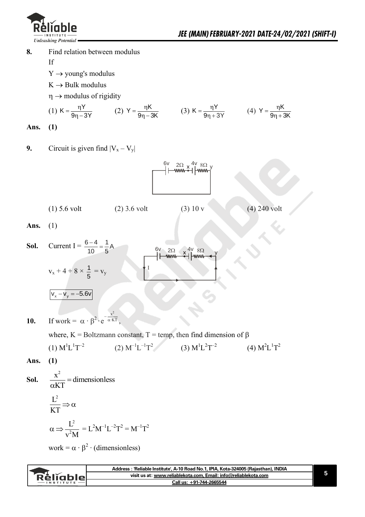

**8.** Find relation between modulus

If

- $Y \rightarrow$  young's modulus
- $K \rightarrow$  Bulk modulus

 $\eta \rightarrow$  modulus of rigidity

(1) 
$$
K = \frac{\eta Y}{9\eta - 3Y}
$$
 (2)  $Y = \frac{\eta K}{9\eta - 3K}$  (3)  $K = \frac{\eta Y}{9\eta + 3Y}$  (4)  $Y = \frac{\eta K}{9\eta + 3K}$ 

**Ans. (1)** 

**9.** Circuit is given find  $|V_x - V_y|$ 



**Ans.** (1)

**Sol.** Current I = 
$$
\frac{6-4}{10} = \frac{1}{5}A
$$
  
\nV<sub>x</sub> + 4 + 8 ×  $\frac{1}{5}$  = V<sub>y</sub>  
\nV<sub>x</sub> - V<sub>y</sub> = -5.6V

**10.** If work = 
$$
\alpha \cdot \beta^2 \cdot e^{-\frac{x^2}{\alpha \cdot KT}}
$$
,

where,  $K = Boltzmann constant$ ,  $T = temp$ , then find dimension of  $\beta$  $(1)$   $M^{1}L^{1}T^{-2}$  $(2) M^{-1}L^{-1}T^2$ (3)  $M^{1}L^{2}T^{-2}$ (4)  $M^2L^1T^2$ 

**Ans. (1)** 

**Sol.**   $=$  $\alpha$  $\frac{x^2}{x}$  = dimensionless KT

$$
\frac{L^2}{KT} \Rightarrow \alpha
$$
  

$$
\alpha \Rightarrow \frac{L^2}{v^2 M} = L^2 M^{-1} L^{-2} T^2 = M^{-1} T^2
$$

work =  $\alpha \cdot \beta^2 \cdot$  (dimensionless)

| visit us at: www.reliablekota.com, Email: info@reliablekota.com<br>. Keliabler<br>Call us: +91-744-2665544 | Address : 'Reliable Institute', A-10 Road No.1, IPIA, Kota-324005 (Rajasthan), INDIA |  |
|------------------------------------------------------------------------------------------------------------|--------------------------------------------------------------------------------------|--|
|                                                                                                            |                                                                                      |  |
|                                                                                                            |                                                                                      |  |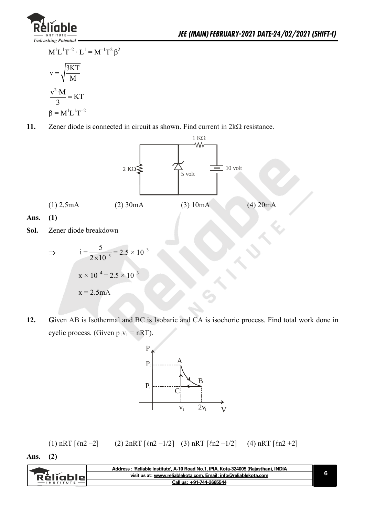

 $M^{1}L^{1}T^{-2} \cdot L^{1} = M^{-1}T^{2} \beta^{2}$  $v = \sqrt{\frac{3KT}{\lambda}}$ M  $=$  $\frac{v^2 \cdot M}{2}$  = KT 3  $=$  $\beta = M^{1}L^{1}T^{-2}$ 

11. Zener diode is connected in circuit as shown. Find current in  $2k\Omega$  resistance.



$$
\Rightarrow \qquad i = \frac{5}{2 \times 10^{-3}} = 2.5 \times 10^{-3}
$$

$$
x \times 10^{-4} = 2.5 \times 10^{-3}
$$

$$
x = 2.5 \text{ mA}
$$

**12. G**iven AB is Isothermal and BC is Isobaric and CA is isochoric process. Find total work done in cyclic process. (Given  $p_1v_1 = nRT$ ).



(1) nRT  $[\ln 2 - 2]$  (2)  $2nRT [\ln 2 - 1/2]$  (3) nRT  $[\ln 2 - 1/2]$  (4) nRT  $[\ln 2 + 2]$ 

**Ans. (2)** 

|           | :'Reliable Institute', A-10 Road No.1, IPIA, Kota-324005 (Rajasthan), INDIA<br>Address |  |
|-----------|----------------------------------------------------------------------------------------|--|
| Relighiel | visit us at: www.reliablekota.com, Email: info@reliablekota.com                        |  |
|           | Call us: +91-744-2665544                                                               |  |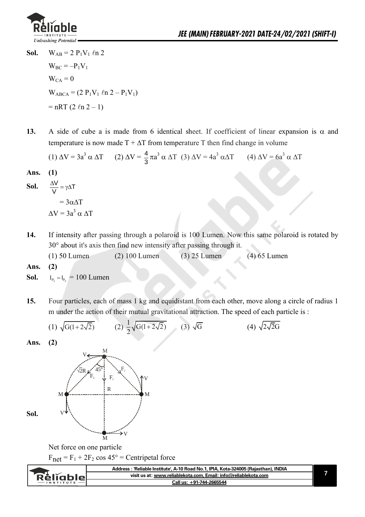

- **Sol.**  $W_{AB} = 2 P_1 V_1 \ln 2$  $W_{BC} = -P_1V_1$  $W_{CA} = 0$  $W_{ABCA} = (2 P_1 V_1 \ln 2 - P_1 V_1)$  $= nRT (2 ln 2 - 1)$
- 13. A side of cube a is made from 6 identical sheet. If coefficient of linear expansion is  $\alpha$  and temperature is now made  $T + \Delta T$  from temperature T then find change in volume

(1) 
$$
\Delta V = 3a^3 \alpha \Delta T
$$
 (2)  $\Delta V = \frac{4}{3} \pi a^3 \alpha \Delta T$  (3)  $\Delta V = 4a^3 \alpha \Delta T$  (4)  $\Delta V = 6a^3 \alpha \Delta T$ 

**Ans. (1)** 

**Sol.** 
$$
\frac{\Delta V}{V} = \gamma \Delta T
$$

$$
= 3\alpha \Delta T
$$

$$
\Delta V = 3a^3 \alpha \Delta T
$$

**14.** If intensity after passing through a polaroid is 100 Lumen. Now this same polaroid is rotated by 30° about it's axis then find new intensity after passing through it.

(1) 50 Lumen (2) 100 Lumen (3) 25 Lumen (4) 65 Lumen

**Ans. (2)** 

**Sol.**   $I_{P_1} = I_{P_2} = 100$  Lumen

**15.** Four particles, each of mass 1 kg and equidistant from each other, move along a circle of radius 1 m under the action of their mutual gravitational attraction. The speed of each particle is :

(1) 
$$
\sqrt{G(1+2\sqrt{2})}
$$
 (2)  $\frac{1}{2}\sqrt{G(1+2\sqrt{2})}$  (3)  $\sqrt{G}$  (4)  $\sqrt{2\sqrt{2}G}$ 

**Ans. (2)** 



Net force on one particle

 $F_{\text{net}} = F_1 + 2F_2 \cos 45^\circ =$  Centripetal force

|               | Address : 'Reliable Institute', A-10 Road No.1, IPIA, Kota-324005 (Rajasthan), INDIA |  |
|---------------|--------------------------------------------------------------------------------------|--|
| Rěliabler     | visit us at: www.reliablekota.com, Email: info@reliablekota.com                      |  |
| $-$ INSTITUTE | Call us: +91-744-2665544                                                             |  |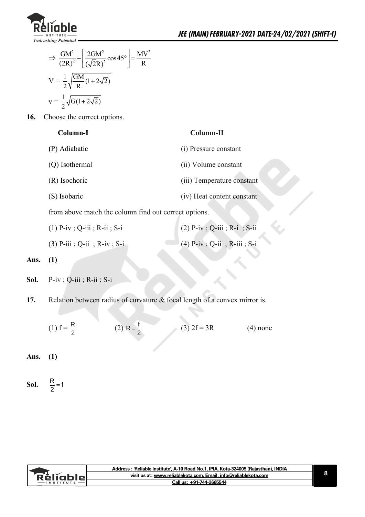

$$
\Rightarrow \frac{GM^2}{(2R)^2} + \left[\frac{2GM^2}{(\sqrt{2}R)^2} \cos 45^\circ\right] = \frac{MV^2}{R}
$$

$$
V = \frac{1}{2} \sqrt{\frac{GM}{R} (1 + 2\sqrt{2})}
$$

$$
v = \frac{1}{2} \sqrt{G(1 + 2\sqrt{2})}
$$

**16.** Choose the correct options.

| Column-I |  |
|----------|--|
|----------|--|

#### **Column-I Column-II**

| (P) Adiabatic  | (i) Pressure constant      |
|----------------|----------------------------|
| (Q) Isothermal | (ii) Volume constant       |
| (R) Isochoric  | (iii) Temperature constant |
| (S) Isobaric   | (iv) Heat content constant |

from above match the column find out correct options.

(3) P-iii ; Q-ii ; R-iv ; S-i (4) P-iv ; Q-ii ; R-iii ; S-i

**Ans. (1)**

- **Sol.** P-iv ; Q-iii ; R-ii ; S-i
- **17.** Relation between radius of curvature & focal length of a convex mirror is.

(1)  $f = \frac{R}{2}$ 2 (2) R =  $\frac{f}{2}$ (3)  $2f = 3R$  (4) none

**Ans. (1)** 

**Sol.**   $\frac{R}{2}$  = f

|         | ː ˈReliable Institute', A-10 Road No.1, IPIA, Kota-324005 (Rajasthan), INDIA<br>Address : |  |
|---------|-------------------------------------------------------------------------------------------|--|
| чешапіе | visit us at: www.reliablekota.com, Email: info@reliablekota.com                           |  |
|         | Call us: +91-744-2665544                                                                  |  |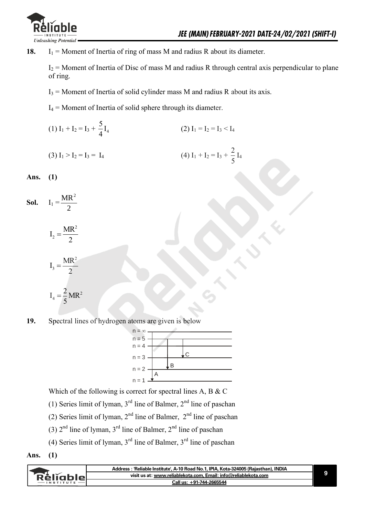

18.  $I_1$  = Moment of Inertia of ring of mass M and radius R about its diameter.

 $I_2$  = Moment of Inertia of Disc of mass M and radius R through central axis perpendicular to plane of ring.

 $I_3$  = Moment of Inertia of solid cylinder mass M and radius R about its axis.

 $I_4$  = Moment of Inertia of solid sphere through its diameter.

 $(1) I_1 + I_2 = I_3 + \frac{3}{4} I_4$  $\frac{5}{1}$ 4 (2)  $I_1 = I_2 = I_3 < I_4$ 

(3) 
$$
I_1 > I_2 = I_3 = I_4
$$
   
 (4)  $I_1 + I_2 = I_3 + \frac{2}{5}I_4$ 

**Ans. (1)** 

**Sol.**  $I_1 =$ 2  $MR^2$ 

> 2  $I_2 = \frac{MR}{2}$ 2  $=$

$$
I_3 = \frac{MR^2}{2}
$$

$$
I_4=\frac{2}{5}\,MR^2
$$

**19.** Spectral lines of hydrogen atoms are given is below



Which of the following is correct for spectral lines A, B & C

(1) Series limit of lyman,  $3<sup>rd</sup>$  line of Balmer,  $2<sup>nd</sup>$  line of paschan

- (2) Series limit of lyman,  $2<sup>nd</sup>$  line of Balmer,  $2<sup>nd</sup>$  line of paschan
- (3)  $2<sup>nd</sup>$  line of lyman,  $3<sup>rd</sup>$  line of Balmer,  $2<sup>nd</sup>$  line of paschan
- (4) Series limit of lyman,  $3<sup>rd</sup>$  line of Balmer,  $3<sup>rd</sup>$  line of paschan
- **Ans. (1)**

|              | Address: 'Reliable Institute', A-10 Road No.1, IPIA, Kota-324005 (Rajasthan), INDIA |  |
|--------------|-------------------------------------------------------------------------------------|--|
| - Reliable - | visit us at: www.reliablekota.com. Email: info@reliablekota.com                     |  |
|              | Call us: +91-744-2665544                                                            |  |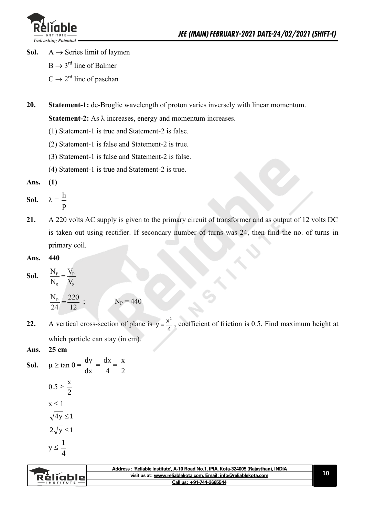

- **Sol.**  $A \rightarrow$  Series limit of laymen
	- $B \rightarrow 3^{rd}$  line of Balmer
	- $C \rightarrow 2^{rd}$  line of paschan
- **20. Statement-1:** de-Broglie wavelength of proton varies inversely with linear momentum.

**Statement-2:** As  $\lambda$  increases, energy and momentum increases.

- (1) Statement-1 is true and Statement-2 is false.
- (2) Statement-1 is false and Statement-2 is true.
- (3) Statement-1 is false and Statement-2 is false.
- (4) Statement-1 is true and Statement-2 is true.

**Ans. (1)** 

- **Sol.**  $\lambda =$ p h
- **21.** A 220 volts AC supply is given to the primary circuit of transformer and as output of 12 volts DC is taken out using rectifier. If secondary number of turns was 24, then find the no. of turns in primary coil.
- **Ans. 440**
- **Sol.**   $P - P$ S S  $\rm N_p-V_i$  $N_s$   $V_s$  $=$

$$
\frac{N_{P}}{24} = \frac{220}{12} ; \qquad N_{P} = 440
$$

**22.** A vertical cross-section of plane is  $y = \frac{x^2}{4}$ , coefficient of friction is 0.5. Find maximum height at which particle can stay (in cm).

#### **Ans. 25 cm**

**Sol.**  $\mu \ge \tan \theta =$ dx  $\frac{dy}{dx}$  = 4  $\frac{dx}{1}$ 2 x  $0.5 \geq$ 2 x  $x < 1$  $\sqrt{4y} \leq 1$  $2\sqrt{y} \leq 1$  $y \le$ 4 1

| visit us at: www.reliablekota.com, Email: info@reliablekota.com<br>Rélĭablel |  |
|------------------------------------------------------------------------------|--|
|                                                                              |  |
| Call us: +91-744-2665544<br><b>INSTITUTE</b>                                 |  |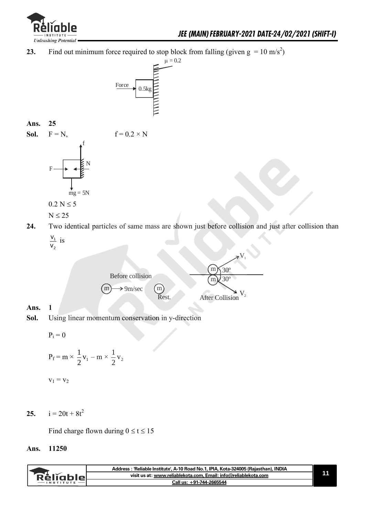

**23.** Find out minimum force required to stop block from falling (given  $g = 10 \text{ m/s}^2$ )



#### **Ans. 25**

| Sol. | $F = N$ , | $f = 0.2 \times N$ |
|------|-----------|--------------------|
|      |           |                    |
|      | N<br>F    |                    |
|      |           |                    |
|      | $mg = 5N$ |                    |

$$
0.2\;N\leq 5
$$

$$
N\leq 25
$$

- **24.** Two identical particles of same mass are shown just before collision and just after collision than 1 v
	- 2  $\frac{\mathsf{v}_1}{\mathsf{v}_2}$  is



#### **Ans. 1**

**Sol.** Using linear momentum conservation in y-direction

$$
\mathbf{P_i} = \mathbf{0}
$$

$$
P_f = m \times \frac{1}{2}v_1 - m \times \frac{1}{2}v_2
$$

$$
\mathbf{v}_1 = \mathbf{v}_2
$$

25.  $i = 20t + 8t^2$ 

Find charge flown during  $0 \le t \le 15$ 

#### **Ans. 11250**

| RěliableL | Address: 'Reliable Institute', A-10 Road No.1, IPIA, Kota-324005 (Rajasthan), INDIA |  |
|-----------|-------------------------------------------------------------------------------------|--|
|           | visit us at: www.reliablekota.com. Email: info@reliablekota.com                     |  |
|           | Call us: +91-744-2665544                                                            |  |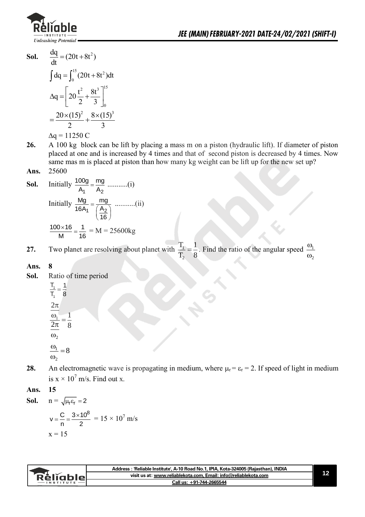

**Sol.** 
$$
\frac{dq}{dt} = (20t + 8t^2)
$$

$$
\int dq = \int_0^{15} (20t + 8t^2) dt
$$

$$
\Delta q = \left[ 20 \frac{t^2}{2} + \frac{8t^3}{3} \right]_0^{15}
$$

$$
= \frac{20 \times (15)^2}{2} + \frac{8 \times (15)^3}{3}
$$

$$
\Delta q = 11250 \text{ C}
$$

- **26.** A 100 kg block can be lift by placing a mass m on a piston (hydraulic lift). If diameter of piston placed at one and is increased by 4 times and that of second piston is decreased by 4 times. Now same mas m is placed at piston than how many kg weight can be lift up for the new set up? **Ans.** 25600
- **Sol.** Initially  $A_1$   $A_2$ 100g mg A A ...........(i) Initially 1  $\frac{A_2}{2}$ Mg mg 16A<sub>1</sub>  $(A)$ 16  $=\frac{mg}{\left(\frac{A_2}{16}\right)}$  ...........(ii)  $100 \times 16$  1 M 16  $\frac{\times 16}{1} = \frac{1}{12} = M = 25600kg$

**27.** Two planet are resolving about planet with 8 1 T T 2  $\frac{1}{2} = \frac{1}{2}$ . Find the ratio of the angular speed  $^{\prime}$  $\overline{1}$  $\omega$  $\omega$ 

#### **Ans. 8**

**Sol.** Ratio of time period

$$
\frac{T_1}{T_1} = \frac{1}{8}
$$

$$
\frac{2\pi}{\frac{\omega_1}{2\pi}} = \frac{1}{8}
$$

$$
\frac{\omega_2}{\omega_2}
$$

$$
\frac{\omega_1}{\omega_2} = 8
$$

- **28.** An electromagnetic wave is propagating in medium, where  $\mu_r = \varepsilon_r = 2$ . If speed of light in medium is  $x \times 10^7$  m/s. Find out x.
- **Ans. 15**

**Sol.** 
$$
n = \sqrt{\mu_r \epsilon_r} = 2
$$

$$
v = \frac{C}{n} = \frac{3 \times 10^8}{2} = 15 \times 10^7 \text{ m/s}
$$

$$
x = 15
$$

| Réligblel<br>$-$ INSTITUTE | Address : 'Reliable Institute', A-10 Road No.1, IPIA, Kota-324005 (Rajasthan), INDIA |  |
|----------------------------|--------------------------------------------------------------------------------------|--|
|                            | visit us at: www.reliablekota.com, Email: info@reliablekota.com                      |  |
|                            | Call us: +91-744-2665544                                                             |  |